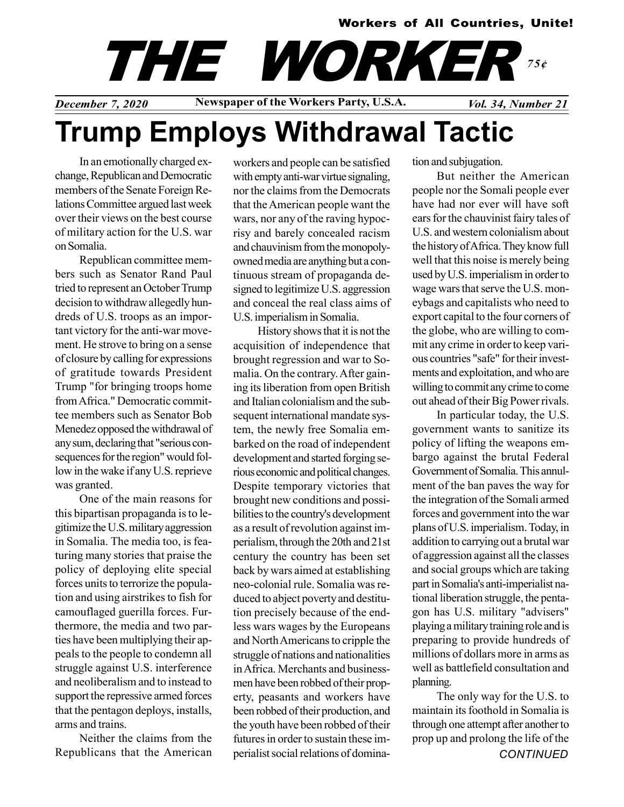#### Workers of All Countries, Unite!

## THE WORKER 75¢

December 7, 2020 Newspaper of the Workers Party, U.S.A. Vol. 34, Number 21

# Trump Employs Withdrawal Tactic

In an emotionally charged exchange, Republican and Democratic members of the Senate Foreign Relations Committee argued last week over their views on the best course of military action for the U.S. war on Somalia.

Republican committee members such as Senator Rand Paul tried to represent an October Trump decision to withdraw allegedly hundreds of U.S. troops as an important victory for the anti-war movement. He strove to bring on a sense of closure by calling for expressions of gratitude towards President Trump "for bringing troops home from Africa." Democratic committee members such as Senator Bob Menedez opposed the withdrawal of any sum, declaring that "serious consequences for the region" would follow in the wake if any U.S. reprieve was granted.

One of the main reasons for this bipartisan propaganda is to legitimize the U.S. military aggression in Somalia. The media too, is featuring many stories that praise the policy of deploying elite special forces units to terrorize the population and using airstrikes to fish for camouflaged guerilla forces. Furthermore, the media and two parties have been multiplying their appeals to the people to condemn all struggle against U.S. interference and neoliberalism and to instead to support the repressive armed forces that the pentagon deploys, installs, arms and trains.

Neither the claims from the Republicans that the American workers and people can be satisfied with empty anti-war virtue signaling, nor the claims from the Democrats that the American people want the wars, nor any of the raving hypocrisy and barely concealed racism and chauvinism from the monopolyowned media are anything but a continuous stream of propaganda designed to legitimize U.S. aggression and conceal the real class aims of U.S. imperialism in Somalia.

History shows that it is not the acquisition of independence that brought regression and war to Somalia. On the contrary. After gaining its liberation from open British and Italian colonialism and the subsequent international mandate system, the newly free Somalia embarked on the road of independent development and started forging serious economic and political changes. Despite temporary victories that brought new conditions and possibilities to the country's development as a result of revolution against imperialism, through the 20th and 21st century the country has been set back by wars aimed at establishing neo-colonial rule. Somalia was reduced to abject poverty and destitution precisely because of the endless wars wages by the Europeans and North Americans to cripple the struggle of nations and nationalities in Africa. Merchants and businessmen have been robbed of their property, peasants and workers have been robbed of their production, and the youth have been robbed of their futures in order to sustain these imperialist social relations of domination and subjugation.

But neither the American people nor the Somali people ever have had nor ever will have soft ears for the chauvinist fairy tales of U.S. and western colonialism about the history of Africa. They know full well that this noise is merely being used by U.S. imperialism in order to wage wars that serve the U.S. moneybags and capitalists who need to export capital to the four corners of the globe, who are willing to commit any crime in order to keep various countries "safe" for their investments and exploitation, and who are willing to commit any crime to come out ahead of their Big Power rivals.

In particular today, the U.S. government wants to sanitize its policy of lifting the weapons embargo against the brutal Federal Government of Somalia. This annulment of the ban paves the way for the integration of the Somali armed forces and government into the war plans of U.S. imperialism. Today, in addition to carrying out a brutal war of aggression against all the classes and social groups which are taking part in Somalia's anti-imperialist national liberation struggle, the pentagon has U.S. military "advisers" playing a military training role and is preparing to provide hundreds of millions of dollars more in arms as well as battlefield consultation and planning.

The only way for the U.S. to maintain its foothold in Somalia is through one attempt after another to prop up and prolong the life of the **CONTINUED**